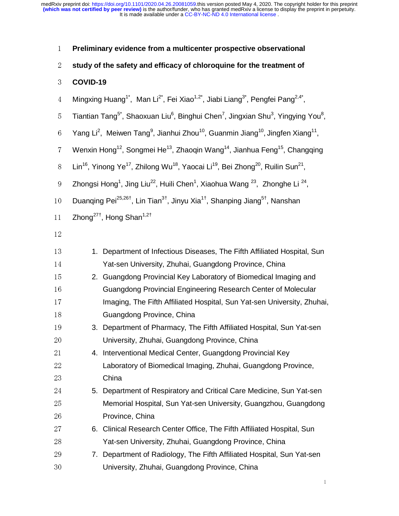### **Preliminary evidence from a multicenter prospective observational**

### **study of the safety and efficacy of chloroquine for the treatment of**

### **COVID-19**

- 4 Mingxing Huang<sup>1\*</sup>, Man Li<sup>2\*</sup>, Fei Xiao<sup>1,2\*</sup>, Jiabi Liang<sup>3\*</sup>, Pengfei Pang<sup>2,4\*</sup>,
- 5 Tiantian Tang<sup>5\*</sup>, Shaoxuan Liu<sup>6</sup>, Binghui Chen<sup>7</sup>, Jingxian Shu<sup>3</sup>, Yingying You<sup>8</sup>,
- 6 Yang Li<sup>2</sup>, Meiwen Tang<sup>9</sup>, Jianhui Zhou<sup>10</sup>, Guanmin Jiang<sup>10</sup>, Jingfen Xiang<sup>11</sup>,
- 7 Wenxin Hong<sup>12</sup>, Songmei He<sup>13</sup>, Zhaoqin Wang<sup>14</sup>, Jianhua Feng<sup>15</sup>, Changqing
- 8 Lin<sup>16</sup>, Yinong Ye<sup>17</sup>, Zhilong Wu<sup>18</sup>, Yaocai Li<sup>19</sup>, Bei Zhong<sup>20</sup>, Ruilin Sun<sup>21</sup>,
- 9 Zhongsi Hong<sup>1</sup>, Jing Liu<sup>22</sup>, Huili Chen<sup>1</sup>, Xiaohua Wang <sup>23</sup>, Zhonghe Li <sup>24</sup>,
- 10 Duanqing Pei<sup>25,26†</sup>, Lin Tian<sup>3†</sup>, Jinyu Xia<sup>1†</sup>, Shanping Jiang<sup>5†</sup>, Nanshan

11 Zhong<sup>27†</sup>, Hong Shan<sup>1,2†</sup>

| 13 | 1. Department of Infectious Diseases, The Fifth Affiliated Hospital, Sun |
|----|--------------------------------------------------------------------------|
| 14 | Yat-sen University, Zhuhai, Guangdong Province, China                    |
| 15 | 2. Guangdong Provincial Key Laboratory of Biomedical Imaging and         |
| 16 | Guangdong Provincial Engineering Research Center of Molecular            |
| 17 | Imaging, The Fifth Affiliated Hospital, Sun Yat-sen University, Zhuhai,  |
| 18 | Guangdong Province, China                                                |
| 19 | 3. Department of Pharmacy, The Fifth Affiliated Hospital, Sun Yat-sen    |
| 20 | University, Zhuhai, Guangdong Province, China                            |
| 21 | 4. Interventional Medical Center, Guangdong Provincial Key               |
| 22 | Laboratory of Biomedical Imaging, Zhuhai, Guangdong Province,            |
| 23 | China                                                                    |
| 24 | 5. Department of Respiratory and Critical Care Medicine, Sun Yat-sen     |
| 25 | Memorial Hospital, Sun Yat-sen University, Guangzhou, Guangdong          |
| 26 | Province, China                                                          |
| 27 | 6. Clinical Research Center Office, The Fifth Affiliated Hospital, Sun   |
| 28 | Yat-sen University, Zhuhai, Guangdong Province, China                    |
| 29 | 7. Department of Radiology, The Fifth Affiliated Hospital, Sun Yat-sen   |
| 30 | University, Zhuhai, Guangdong Province, China                            |
|    |                                                                          |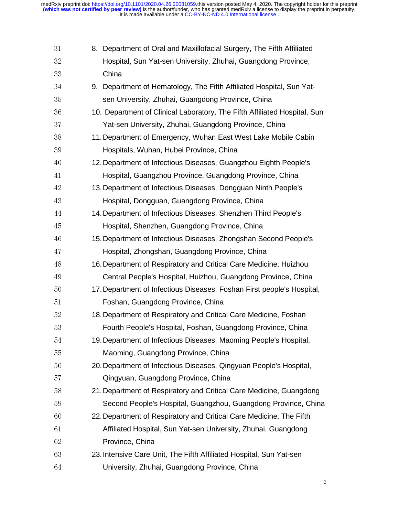| 31 | 8. Department of Oral and Maxillofacial Surgery, The Fifth Affiliated     |
|----|---------------------------------------------------------------------------|
| 32 | Hospital, Sun Yat-sen University, Zhuhai, Guangdong Province,             |
| 33 | China                                                                     |
| 34 | 9. Department of Hematology, The Fifth Affiliated Hospital, Sun Yat-      |
| 35 | sen University, Zhuhai, Guangdong Province, China                         |
| 36 | 10. Department of Clinical Laboratory, The Fifth Affiliated Hospital, Sun |
| 37 | Yat-sen University, Zhuhai, Guangdong Province, China                     |
| 38 | 11. Department of Emergency, Wuhan East West Lake Mobile Cabin            |
| 39 | Hospitals, Wuhan, Hubei Province, China                                   |
| 40 | 12. Department of Infectious Diseases, Guangzhou Eighth People's          |
| 41 | Hospital, Guangzhou Province, Guangdong Province, China                   |
| 42 | 13. Department of Infectious Diseases, Dongguan Ninth People's            |
| 43 | Hospital, Dongguan, Guangdong Province, China                             |
| 44 | 14. Department of Infectious Diseases, Shenzhen Third People's            |
| 45 | Hospital, Shenzhen, Guangdong Province, China                             |
| 46 | 15. Department of Infectious Diseases, Zhongshan Second People's          |
| 47 | Hospital, Zhongshan, Guangdong Province, China                            |
| 48 | 16. Department of Respiratory and Critical Care Medicine, Huizhou         |
| 49 | Central People's Hospital, Huizhou, Guangdong Province, China             |
| 50 | 17. Department of Infectious Diseases, Foshan First people's Hospital,    |
| 51 | Foshan, Guangdong Province, China                                         |
| 52 | 18. Department of Respiratory and Critical Care Medicine, Foshan          |
| 53 | Fourth People's Hospital, Foshan, Guangdong Province, China               |
| 54 | 19. Department of Infectious Diseases, Maoming People's Hospital,         |
| 55 | Maoming, Guangdong Province, China                                        |
| 56 | 20. Department of Infectious Diseases, Qingyuan People's Hospital,        |
| 57 | Qingyuan, Guangdong Province, China                                       |
| 58 | 21. Department of Respiratory and Critical Care Medicine, Guangdong       |
| 59 | Second People's Hospital, Guangzhou, Guangdong Province, China            |
| 60 | 22. Department of Respiratory and Critical Care Medicine, The Fifth       |
| 61 | Affiliated Hospital, Sun Yat-sen University, Zhuhai, Guangdong            |
| 62 | Province, China                                                           |
| 63 | 23. Intensive Care Unit, The Fifth Affiliated Hospital, Sun Yat-sen       |
| 64 | University, Zhuhai, Guangdong Province, China                             |
|    |                                                                           |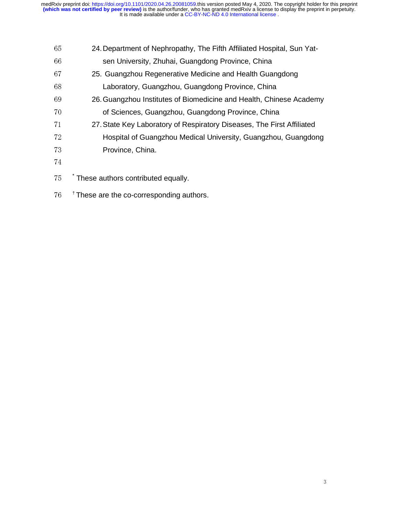| 65 | 24. Department of Nephropathy, The Fifth Affiliated Hospital, Sun Yat- |
|----|------------------------------------------------------------------------|
| 66 | sen University, Zhuhai, Guangdong Province, China                      |
| 67 | 25. Guangzhou Regenerative Medicine and Health Guangdong               |
| 68 | Laboratory, Guangzhou, Guangdong Province, China                       |
| 69 | 26. Guangzhou Institutes of Biomedicine and Health, Chinese Academy    |
| 70 | of Sciences, Guangzhou, Guangdong Province, China                      |
| 71 | 27. State Key Laboratory of Respiratory Diseases, The First Affiliated |
| 72 | Hospital of Guangzhou Medical University, Guangzhou, Guangdong         |
| 73 | Province, China.                                                       |
| 74 |                                                                        |
| 75 | These authors contributed equally.                                     |

<sup>t</sup> These are the co-corresponding authors.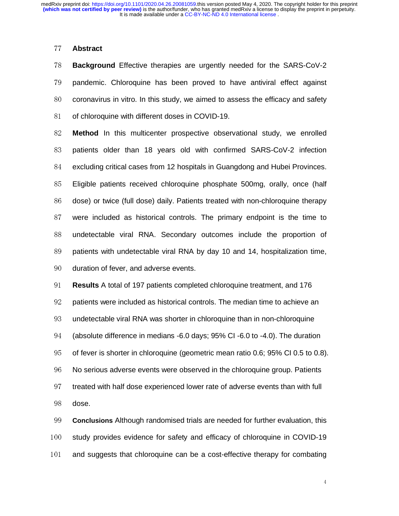### <sup>77</sup>**Abstract**

<sup>78</sup>**Background** Effective therapies are urgently needed for the SARS-CoV-2 79 pandemic. Chloroquine has been proved to have antiviral effect against 80 coronavirus in vitro. In this study, we aimed to assess the efficacy and safety 81 of chloroquine with different doses in COVID-19.

<sup>82</sup>**Method** In this multicenter prospective observational study, we enrolled 83 patients older than 18 years old with confirmed SARS-CoV-2 infection 84 excluding critical cases from 12 hospitals in Guangdong and Hubei Provinces. <sup>85</sup>Eligible patients received chloroquine phosphate 500mg, orally, once (half 86 dose) or twice (full dose) daily. Patients treated with non-chloroquine therapy 87 were included as historical controls. The primary endpoint is the time to 88 undetectable viral RNA. Secondary outcomes include the proportion of 89 patients with undetectable viral RNA by day 10 and 14, hospitalization time, 90 duration of fever, and adverse events.

<sup>91</sup>**Results** A total of 197 patients completed chloroquine treatment, and 176 92 patients were included as historical controls. The median time to achieve an 93 undetectable viral RNA was shorter in chloroquine than in non-chloroquine <sup>94</sup>(absolute difference in medians -6.0 days; 95% CI -6.0 to -4.0). The duration 95 of fever is shorter in chloroquine (geometric mean ratio 0.6; 95% CI 0.5 to 0.8). <sup>96</sup>No serious adverse events were observed in the chloroquine group. Patients 97 treated with half dose experienced lower rate of adverse events than with full 98 dose.

<sup>99</sup>**Conclusions** Although randomised trials are needed for further evaluation, this 100 study provides evidence for safety and efficacy of chloroquine in COVID-19 101 and suggests that chloroquine can be a cost-effective therapy for combating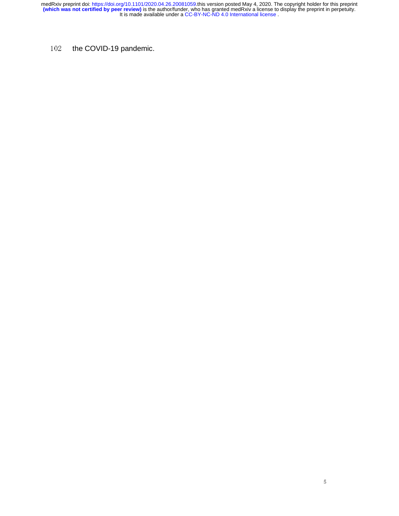102 the COVID-19 pandemic.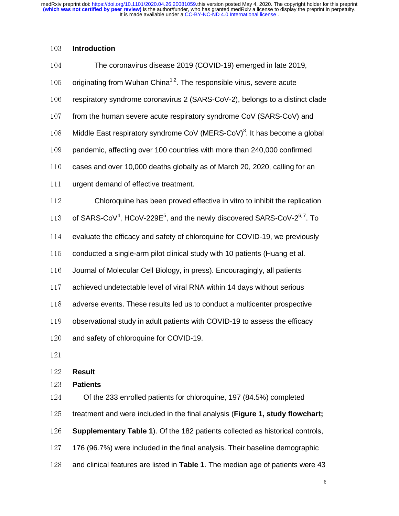### **Introduction**

| 104 | The coronavirus disease 2019 (COVID-19) emerged in late 2019,                                         |
|-----|-------------------------------------------------------------------------------------------------------|
| 105 | originating from Wuhan China <sup>1,2</sup> . The responsible virus, severe acute                     |
| 106 | respiratory syndrome coronavirus 2 (SARS-CoV-2), belongs to a distinct clade                          |
| 107 | from the human severe acute respiratory syndrome CoV (SARS-CoV) and                                   |
| 108 | Middle East respiratory syndrome CoV (MERS-CoV) <sup>3</sup> . It has become a global                 |
| 109 | pandemic, affecting over 100 countries with more than 240,000 confirmed                               |
| 110 | cases and over 10,000 deaths globally as of March 20, 2020, calling for an                            |
| 111 | urgent demand of effective treatment.                                                                 |
| 112 | Chloroquine has been proved effective in vitro to inhibit the replication                             |
| 113 | of SARS-CoV <sup>4</sup> , HCoV-229E <sup>5</sup> , and the newly discovered SARS-CoV- $2^{6,7}$ . To |
| 114 | evaluate the efficacy and safety of chloroquine for COVID-19, we previously                           |
| 115 | conducted a single-arm pilot clinical study with 10 patients (Huang et al.                            |
| 116 | Journal of Molecular Cell Biology, in press). Encouragingly, all patients                             |
| 117 | achieved undetectable level of viral RNA within 14 days without serious                               |
| 118 | adverse events. These results led us to conduct a multicenter prospective                             |
| 119 | observational study in adult patients with COVID-19 to assess the efficacy                            |
| 120 | and safety of chloroquine for COVID-19.                                                               |
| 121 |                                                                                                       |
| 122 | <b>Result</b>                                                                                         |
| 123 | <b>Patients</b>                                                                                       |
| 124 | Of the 233 enrolled patients for chloroquine, 197 (84.5%) completed                                   |
| 125 | treatment and were included in the final analysis (Figure 1, study flowchart;                         |
| 126 | Supplementary Table 1). Of the 182 patients collected as historical controls,                         |

- 127 176 (96.7%) were included in the final analysis. Their baseline demographic
- 128 and clinical features are listed in Table 1. The median age of patients were 43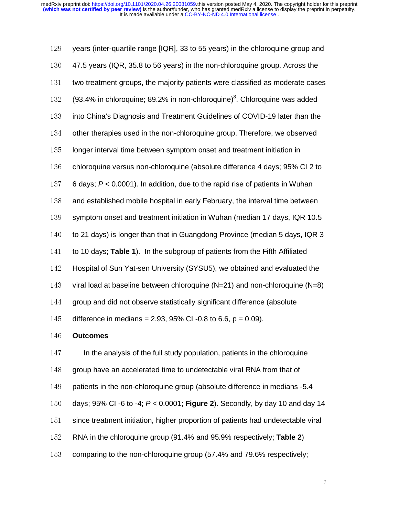| 129 | years (inter-quartile range [IQR], 33 to 55 years) in the chloroquine group and       |
|-----|---------------------------------------------------------------------------------------|
| 130 | 47.5 years (IQR, 35.8 to 56 years) in the non-chloroquine group. Across the           |
| 131 | two treatment groups, the majority patients were classified as moderate cases         |
| 132 | (93.4% in chloroquine; 89.2% in non-chloroquine) <sup>8</sup> . Chloroquine was added |
| 133 | into China's Diagnosis and Treatment Guidelines of COVID-19 later than the            |
| 134 | other therapies used in the non-chloroquine group. Therefore, we observed             |
| 135 | longer interval time between symptom onset and treatment initiation in                |
| 136 | chloroquine versus non-chloroquine (absolute difference 4 days; 95% CI 2 to           |
| 137 | 6 days; $P < 0.0001$ ). In addition, due to the rapid rise of patients in Wuhan       |
| 138 | and established mobile hospital in early February, the interval time between          |
| 139 | symptom onset and treatment initiation in Wuhan (median 17 days, IQR 10.5             |
| 140 | to 21 days) is longer than that in Guangdong Province (median 5 days, IQR 3           |
| 141 | to 10 days; Table 1). In the subgroup of patients from the Fifth Affiliated           |
| 142 | Hospital of Sun Yat-sen University (SYSU5), we obtained and evaluated the             |
| 143 | viral load at baseline between chloroquine $(N=21)$ and non-chloroquine $(N=8)$       |
| 144 | group and did not observe statistically significant difference (absolute              |
| 145 | difference in medians = $2.93$ , $95\%$ CI -0.8 to 6.6, $p = 0.09$ ).                 |
| 146 | <b>Outcomes</b>                                                                       |
| 147 | In the analysis of the full study population, patients in the chloroquine             |
| 148 | group have an accelerated time to undetectable viral RNA from that of                 |
| 149 | patients in the non-chloroquine group (absolute difference in medians -5.4            |
|     |                                                                                       |

days; 95% CI -6 to -4; *P* < 0.0001; **Figure 2**). Secondly, by day 10 and day 14

- 151 since treatment initiation, higher proportion of patients had undetectable viral
- RNA in the chloroquine group (91.4% and 95.9% respectively; **Table 2**)
- 153 comparing to the non-chloroquine group (57.4% and 79.6% respectively;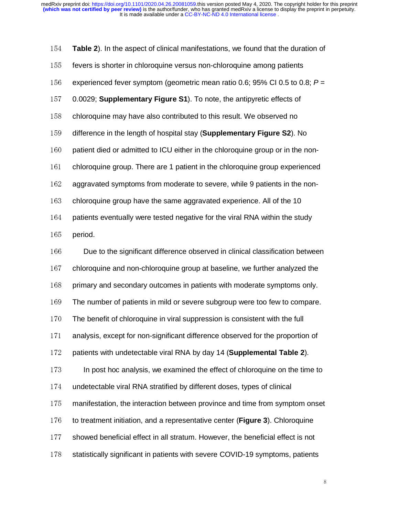<sup>154</sup>**Table 2**). In the aspect of clinical manifestations, we found that the duration of 155 fevers is shorter in chloroquine versus non-chloroquine among patients 156 experienced fever symptom (geometric mean ratio 0.6; 95% CI 0.5 to 0.8;  $P=$ <sup>157</sup>0.0029; **Supplementary Figure S1**). To note, the antipyretic effects of 158 chloroquine may have also contributed to this result. We observed no <sup>159</sup>difference in the length of hospital stay (**Supplementary Figure S2**). No 160 patient died or admitted to ICU either in the chloroquine group or in the non-161 chloroquine group. There are 1 patient in the chloroquine group experienced 162 aggravated symptoms from moderate to severe, while 9 patients in the non-163 chloroquine group have the same aggravated experience. All of the 10 164 patients eventually were tested negative for the viral RNA within the study 165 period. 166 Due to the significant difference observed in clinical classification between 167 chloroquine and non-chloroquine group at baseline, we further analyzed the 168 primary and secondary outcomes in patients with moderate symptoms only. 169 The number of patients in mild or severe subgroup were too few to compare. 170 The benefit of chloroquine in viral suppression is consistent with the full 171 analysis, except for non-significant difference observed for the proportion of 172 patients with undetectable viral RNA by day 14 (**Supplemental Table 2**). <sup>173</sup>In post hoc analysis, we examined the effect of chloroquine on the time to 174 undetectable viral RNA stratified by different doses, types of clinical 175 manifestation, the interaction between province and time from symptom onset 176 to treatment initiation, and a representative center (Figure 3). Chloroquine 177 showed beneficial effect in all stratum. However, the beneficial effect is not 178 statistically significant in patients with severe COVID-19 symptoms, patients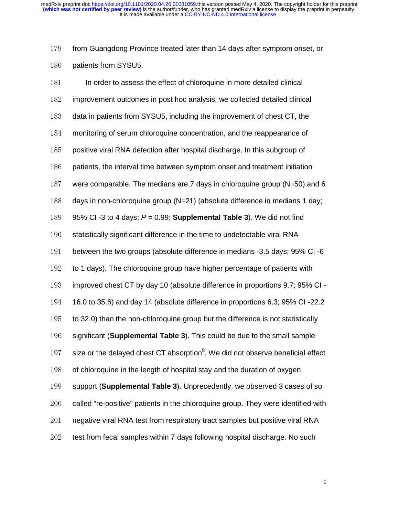179 from Guangdong Province treated later than 14 days after symptom onset, or

180 patients from SYSU5.

| 181 | In order to assess the effect of chloroquine in more detailed clinical                      |
|-----|---------------------------------------------------------------------------------------------|
| 182 | improvement outcomes in post hoc analysis, we collected detailed clinical                   |
| 183 | data in patients from SYSU5, including the improvement of chest CT, the                     |
| 184 | monitoring of serum chloroquine concentration, and the reappearance of                      |
| 185 | positive viral RNA detection after hospital discharge. In this subgroup of                  |
| 186 | patients, the interval time between symptom onset and treatment initiation                  |
| 187 | were comparable. The medians are 7 days in chloroquine group (N=50) and 6                   |
| 188 | days in non-chloroquine group (N=21) (absolute difference in medians 1 day;                 |
| 189 | 95% CI -3 to 4 days; $P = 0.99$ ; Supplemental Table 3). We did not find                    |
| 190 | statistically significant difference in the time to undetectable viral RNA                  |
| 191 | between the two groups (absolute difference in medians -3.5 days; 95% CI -6                 |
| 192 | to 1 days). The chloroquine group have higher percentage of patients with                   |
| 193 | improved chest CT by day 10 (absolute difference in proportions 9.7; 95% CI -               |
| 194 | 16.0 to 35.6) and day 14 (absolute difference in proportions 6.3; 95% CI-22.2               |
| 195 | to 32.0) than the non-chloroquine group but the difference is not statistically             |
| 196 | significant (Supplemental Table 3). This could be due to the small sample                   |
| 197 | size or the delayed chest CT absorption <sup>9</sup> . We did not observe beneficial effect |
| 198 | of chloroquine in the length of hospital stay and the duration of oxygen                    |
| 199 | support (Supplemental Table 3). Unprecedently, we observed 3 cases of so                    |
| 200 | called "re-positive" patients in the chloroquine group. They were identified with           |
| 201 | negative viral RNA test from respiratory tract samples but positive viral RNA               |
| 202 | test from fecal samples within 7 days following hospital discharge. No such                 |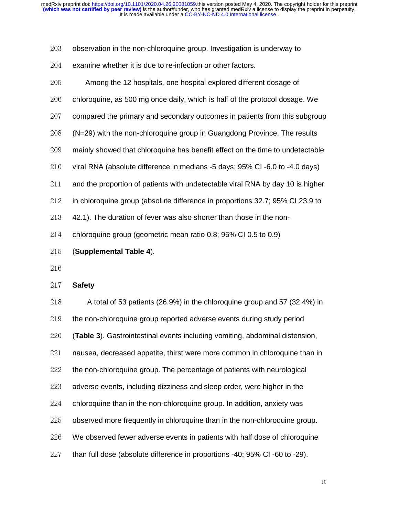203 observation in the non-chloroquine group. Investigation is underway to

examine whether it is due to re-infection or other factors.

| 205 | Among the 12 hospitals, one hospital explored different dosage of              |
|-----|--------------------------------------------------------------------------------|
| 206 | chloroquine, as 500 mg once daily, which is half of the protocol dosage. We    |
| 207 | compared the primary and secondary outcomes in patients from this subgroup     |
| 208 | (N=29) with the non-chloroquine group in Guangdong Province. The results       |
| 209 | mainly showed that chloroquine has benefit effect on the time to undetectable  |
| 210 | viral RNA (absolute difference in medians -5 days; 95% CI -6.0 to -4.0 days)   |
| 211 | and the proportion of patients with undetectable viral RNA by day 10 is higher |
| 212 | in chloroquine group (absolute difference in proportions 32.7; 95% CI 23.9 to  |
| 213 | 42.1). The duration of fever was also shorter than those in the non-           |
| 214 | chloroquine group (geometric mean ratio 0.8; 95% CI 0.5 to 0.9)                |

- (**Supplemental Table 4**).
- 

#### **Safety**

218 A total of 53 patients (26.9%) in the chloroquine group and 57 (32.4%) in the non-chloroquine group reported adverse events during study period (**Table 3**). Gastrointestinal events including vomiting, abdominal distension, nausea, decreased appetite, thirst were more common in chloroquine than in the non-chloroquine group. The percentage of patients with neurological adverse events, including dizziness and sleep order, were higher in the chloroquine than in the non-chloroquine group. In addition, anxiety was observed more frequently in chloroquine than in the non-chloroquine group. 226 We observed fewer adverse events in patients with half dose of chloroquine 227 than full dose (absolute difference in proportions -40; 95% CI -60 to -29).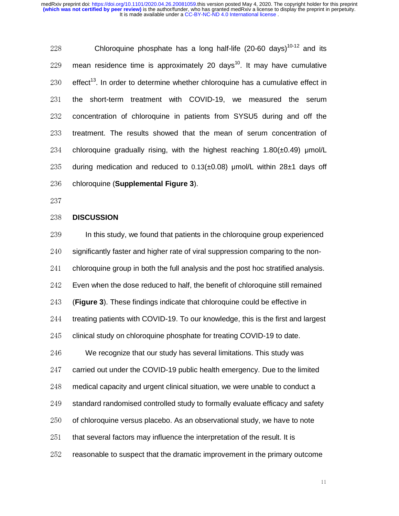228 Chloroquine phosphate has a long half-life  $(20\text{-}60 \text{ days})^{10\text{-}12}$  and its 229 mean residence time is approximately 20 days<sup>10</sup>. It may have cumulative 230 effect<sup>13</sup>. In order to determine whether chloroquine has a cumulative effect in 231 the short-term treatment with COVID-19, we measured the serum 232 concentration of chloroquine in patients from SYSU5 during and off the 233 treatment. The results showed that the mean of serum concentration of 234 chloroquine gradually rising, with the highest reaching  $1.80(\pm 0.49)$  µmol/L 235 during medication and reduced to 0.13( $\pm$ 0.08) µmol/L within 28 $\pm$ 1 days off 236 chloroquine (**Supplemental Figure 3**).

#### <sup>238</sup>**DISCUSSION**

239 In this study, we found that patients in the chloroquine group experienced 240 significantly faster and higher rate of viral suppression comparing to the non- $241$  chloroquine group in both the full analysis and the post hoc stratified analysis. 242 Even when the dose reduced to half, the benefit of chloroquine still remained <sup>243</sup>(**Figure 3**). These findings indicate that chloroquine could be effective in 244 treating patients with COVID-19. To our knowledge, this is the first and largest 245 clinical study on chloroquine phosphate for treating COVID-19 to date. 246 We recognize that our study has several limitations. This study was 247 carried out under the COVID-19 public health emergency. Due to the limited 248 medical capacity and urgent clinical situation, we were unable to conduct a 249 standard randomised controlled study to formally evaluate efficacy and safety  $250$  of chloroquine versus placebo. As an observational study, we have to note  $251$  that several factors may influence the interpretation of the result. It is 252 reasonable to suspect that the dramatic improvement in the primary outcome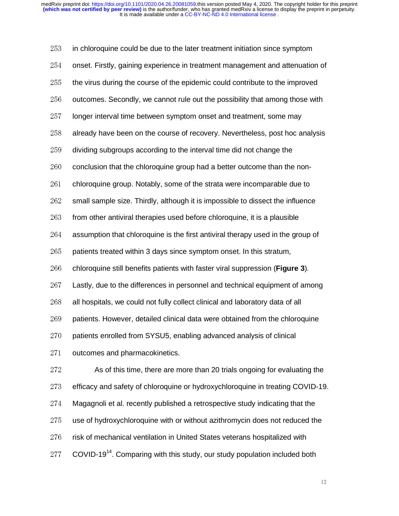| 253 | in chloroquine could be due to the later treatment initiation since symptom     |
|-----|---------------------------------------------------------------------------------|
| 254 | onset. Firstly, gaining experience in treatment management and attenuation of   |
| 255 | the virus during the course of the epidemic could contribute to the improved    |
| 256 | outcomes. Secondly, we cannot rule out the possibility that among those with    |
| 257 | longer interval time between symptom onset and treatment, some may              |
| 258 | already have been on the course of recovery. Nevertheless, post hoc analysis    |
| 259 | dividing subgroups according to the interval time did not change the            |
| 260 | conclusion that the chloroquine group had a better outcome than the non-        |
| 261 | chloroquine group. Notably, some of the strata were incomparable due to         |
| 262 | small sample size. Thirdly, although it is impossible to dissect the influence  |
| 263 | from other antiviral therapies used before chloroquine, it is a plausible       |
| 264 | assumption that chloroquine is the first antiviral therapy used in the group of |
| 265 | patients treated within 3 days since symptom onset. In this stratum,            |
| 266 | chloroquine still benefits patients with faster viral suppression (Figure 3).   |
| 267 | Lastly, due to the differences in personnel and technical equipment of among    |
| 268 | all hospitals, we could not fully collect clinical and laboratory data of all   |
| 269 | patients. However, detailed clinical data were obtained from the chloroquine    |
| 270 | patients enrolled from SYSU5, enabling advanced analysis of clinical            |
| 271 | outcomes and pharmacokinetics.                                                  |
| 272 | As of this time, there are more than 20 trials ongoing for evaluating the       |
| 273 | efficacy and safety of chloroquine or hydroxychloroquine in treating COVID-19.  |
| 274 | Magagnoli et al. recently published a retrospective study indicating that the   |

275 use of hydroxychloroquine with or without azithromycin does not reduced the

276 risk of mechanical ventilation in United States veterans hospitalized with

277 COVID-19<sup>14</sup>. Comparing with this study, our study population included both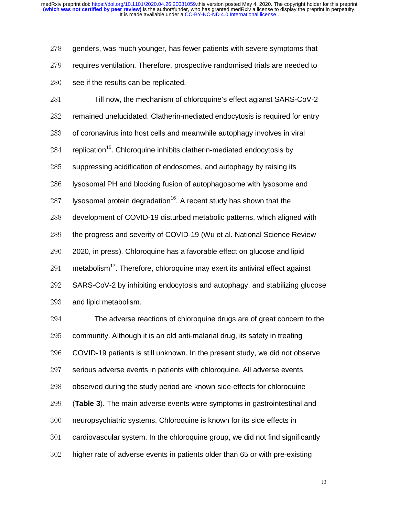278 genders, was much younger, has fewer patients with severe symptoms that  $279$  requires ventilation. Therefore, prospective randomised trials are needed to  $280$  see if the results can be replicated.

281 Till now, the mechanism of chloroquine's effect agianst SARS-CoV-2 282 remained unelucidated. Clatherin-mediated endocytosis is required for entry 283 of coronavirus into host cells and meanwhile autophagy involves in viral 284 replication<sup>15</sup>. Chloroquine inhibits clatherin-mediated endocytosis by 285 suppressing acidification of endosomes, and autophagy by raising its 286 lysosomal PH and blocking fusion of autophagosome with lysosome and 287. lysosomal protein degradation<sup>16</sup>. A recent study has shown that the 288 development of COVID-19 disturbed metabolic patterns, which aligned with 289 the progress and severity of COVID-19 (Wu et al. National Science Review 290 2020, in press). Chloroquine has a favorable effect on glucose and lipid 291 metabolism<sup>17</sup>. Therefore, chloroquine may exert its antiviral effect against 292 SARS-CoV-2 by inhibiting endocytosis and autophagy, and stabilizing glucose 293 and lipid metabolism.

294 The adverse reactions of chloroquine drugs are of great concern to the 295 community. Although it is an old anti-malarial drug, its safety in treating 296 COVID-19 patients is still unknown. In the present study, we did not observe 297 serious adverse events in patients with chloroquine. All adverse events 298 observed during the study period are known side-effects for chloroquine <sup>299</sup>(**Table 3**). The main adverse events were symptoms in gastrointestinal and 300 neuropsychiatric systems. Chloroquine is known for its side effects in 301 cardiovascular system. In the chloroquine group, we did not find significantly <sup>302</sup>higher rate of adverse events in patients older than 65 or with pre-existing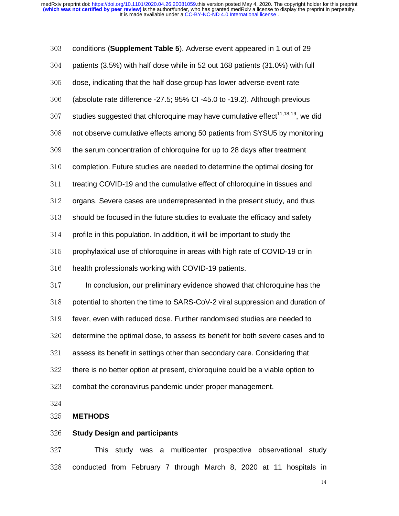| 303 | conditions (Supplement Table 5). Adverse event appeared in 1 out of 29                     |
|-----|--------------------------------------------------------------------------------------------|
| 304 | patients (3.5%) with half dose while in 52 out 168 patients (31.0%) with full              |
| 305 | dose, indicating that the half dose group has lower adverse event rate                     |
| 306 | (absolute rate difference -27.5; 95% CI -45.0 to -19.2). Although previous                 |
| 307 | studies suggested that chloroquine may have cumulative effect <sup>11,18,19</sup> , we did |
| 308 | not observe cumulative effects among 50 patients from SYSU5 by monitoring                  |
| 309 | the serum concentration of chloroquine for up to 28 days after treatment                   |
| 310 | completion. Future studies are needed to determine the optimal dosing for                  |
| 311 | treating COVID-19 and the cumulative effect of chloroquine in tissues and                  |
| 312 | organs. Severe cases are underrepresented in the present study, and thus                   |
| 313 | should be focused in the future studies to evaluate the efficacy and safety                |
| 314 | profile in this population. In addition, it will be important to study the                 |
| 315 | prophylaxical use of chloroquine in areas with high rate of COVID-19 or in                 |
| 316 | health professionals working with COVID-19 patients.                                       |
| 317 | In conclusion, our preliminary evidence showed that chloroquine has the                    |
| 318 | potential to shorten the time to SARS-CoV-2 viral suppression and duration of              |
| 319 | fever, even with reduced dose. Further randomised studies are needed to                    |
| 320 | determine the optimal dose, to assess its benefit for both severe cases and to             |
| 321 | assess its benefit in settings other than secondary care. Considering that                 |
| 322 | there is no better option at present, chloroquine could be a viable option to              |
| 323 | combat the coronavirus pandemic under proper management.                                   |
| 324 |                                                                                            |
| 325 | <b>METHODS</b>                                                                             |

### **Study Design and participants**

327 This study was a multicenter prospective observational study 328 conducted from February 7 through March 8, 2020 at 11 hospitals in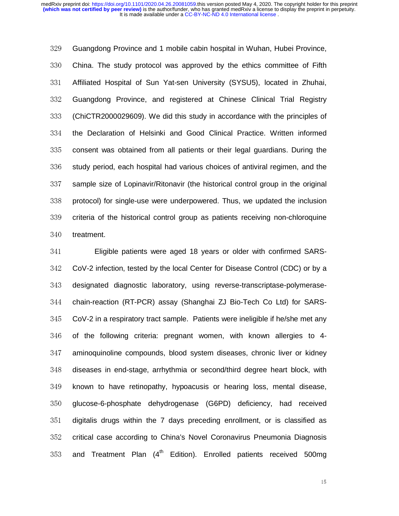329 Guangdong Province and 1 mobile cabin hospital in Wuhan, Hubei Province, 330 China. The study protocol was approved by the ethics committee of Fifth 331 Affiliated Hospital of Sun Yat-sen University (SYSU5), located in Zhuhai, <sup>332</sup>Guangdong Province, and registered at Chinese Clinical Trial Registry <sup>333</sup>(ChiCTR2000029609). We did this study in accordance with the principles of 334 the Declaration of Helsinki and Good Clinical Practice. Written informed 335 consent was obtained from all patients or their legal guardians. During the 336 study period, each hospital had various choices of antiviral regimen, and the 337 sample size of Lopinavir/Ritonavir (the historical control group in the original 338 protocol) for single-use were underpowered. Thus, we updated the inclusion 339 criteria of the historical control group as patients receiving non-chloroquine 340 treatment.

341 Eligible patients were aged 18 years or older with confirmed SARS-342 CoV-2 infection, tested by the local Center for Disease Control (CDC) or by a 343 designated diagnostic laboratory, using reverse-transcriptase-polymerase-344 chain-reaction (RT-PCR) assay (Shanghai ZJ Bio-Tech Co Ltd) for SARS-345 CoV-2 in a respiratory tract sample. Patients were ineligible if he/she met any 346 of the following criteria: pregnant women, with known allergies to 4-347 aminoquinoline compounds, blood system diseases, chronic liver or kidney 348 diseases in end-stage, arrhythmia or second/third degree heart block, with 349 known to have retinopathy, hypoacusis or hearing loss, mental disease, 350 glucose-6-phosphate dehydrogenase (G6PD) deficiency, had received 351 digitalis drugs within the 7 days preceding enrollment, or is classified as 352 critical case according to China's Novel Coronavirus Pneumonia Diagnosis 353 and Treatment Plan  $(4<sup>th</sup>$  Edition). Enrolled patients received 500mg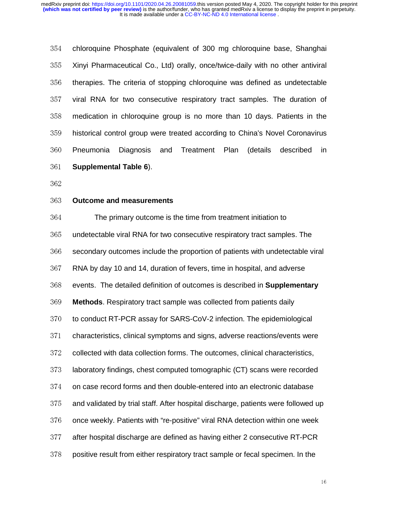354 chloroquine Phosphate (equivalent of 300 mg chloroquine base, Shanghai 355 Xinyi Pharmaceutical Co., Ltd) orally, once/twice-daily with no other antiviral 356 therapies. The criteria of stopping chloroquine was defined as undetectable 357 viral RNA for two consecutive respiratory tract samples. The duration of <sup>358</sup>medication in chloroquine group is no more than 10 days. Patients in the <sup>359</sup>historical control group were treated according to China's Novel Coronavirus 360 Pneumonia Diagnosis and Treatment Plan (details described in <sup>361</sup>**Supplemental Table 6**).

362

### <sup>363</sup>**Outcome and measurements**

364 The primary outcome is the time from treatment initiation to <sup>365</sup>undetectable viral RNA for two consecutive respiratory tract samples. The 366 secondary outcomes include the proportion of patients with undetectable viral 367 RNA by day 10 and 14, duration of fevers, time in hospital, and adverse <sup>368</sup>events. The detailed definition of outcomes is described in **Supplementary**  <sup>369</sup>**Methods**. Respiratory tract sample was collected from patients daily 370 to conduct RT-PCR assay for SARS-CoV-2 infection. The epidemiological 371 characteristics, clinical symptoms and signs, adverse reactions/events were 372 collected with data collection forms. The outcomes, clinical characteristics, <sup>373</sup>laboratory findings, chest computed tomographic (CT) scans were recorded 374 on case record forms and then double-entered into an electronic database 375 and validated by trial staff. After hospital discharge, patients were followed up 376 once weekly. Patients with "re-positive" viral RNA detection within one week 377 after hospital discharge are defined as having either 2 consecutive RT-PCR 378 positive result from either respiratory tract sample or fecal specimen. In the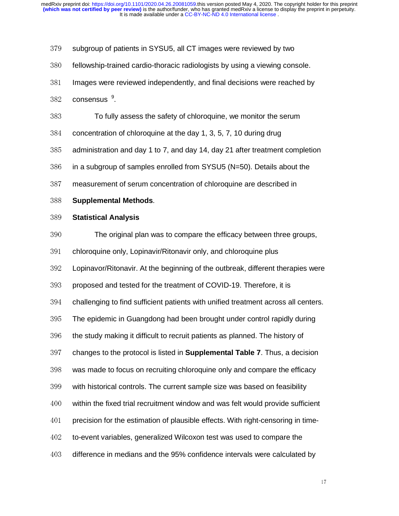379 subgroup of patients in SYSU5, all CT images were reviewed by two

- 380 fellowship-trained cardio-thoracic radiologists by using a viewing console.
- 381 Images were reviewed independently, and final decisions were reached by
- $382$  consensus  $9$ .
- 383 To fully assess the safety of chloroquine, we monitor the serum
- $384$  concentration of chloroquine at the day 1, 3, 5, 7, 10 during drug
- 385 administration and day 1 to 7, and day 14, day 21 after treatment completion
- $386$  in a subgroup of samples enrolled from SYSU5 (N=50). Details about the
- 387 measurement of serum concentration of chloroquine are described in

### <sup>388</sup>**Supplemental Methods**.

### <sup>389</sup>**Statistical Analysis**

- 390 The original plan was to compare the efficacy between three groups,
- 391 chloroquine only, Lopinavir/Ritonavir only, and chloroquine plus
- 392 Lopinavor/Ritonavir. At the beginning of the outbreak, different therapies were
- 393 proposed and tested for the treatment of COVID-19. Therefore, it is
- 394 challenging to find sufficient patients with unified treatment across all centers.
- 395 The epidemic in Guangdong had been brought under control rapidly during
- 396 the study making it difficult to recruit patients as planned. The history of
- 397 changes to the protocol is listed in **Supplemental Table 7**. Thus, a decision
- <sup>398</sup>was made to focus on recruiting chloroquine only and compare the efficacy
- 399 with historical controls. The current sample size was based on feasibility
- 400 within the fixed trial recruitment window and was felt would provide sufficient
- 401 precision for the estimation of plausible effects. With right-censoring in time-
- 402 to-event variables, generalized Wilcoxon test was used to compare the
- 403 difference in medians and the 95% confidence intervals were calculated by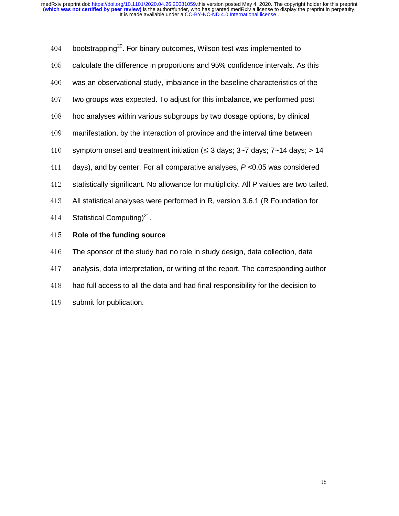| 404 | bootstrapping <sup>20</sup> . For binary outcomes, Wilson test was implemented to      |
|-----|----------------------------------------------------------------------------------------|
| 405 | calculate the difference in proportions and 95% confidence intervals. As this          |
| 406 | was an observational study, imbalance in the baseline characteristics of the           |
| 407 | two groups was expected. To adjust for this imbalance, we performed post               |
| 408 | hoc analyses within various subgroups by two dosage options, by clinical               |
| 409 | manifestation, by the interaction of province and the interval time between            |
| 410 | symptom onset and treatment initiation ( $\leq$ 3 days; 3~7 days; 7~14 days; > 14      |
| 411 | days), and by center. For all comparative analyses, $P < 0.05$ was considered          |
| 412 | statistically significant. No allowance for multiplicity. All P values are two tailed. |
| 413 | All statistical analyses were performed in R, version 3.6.1 (R Foundation for          |
| 414 | Statistical Computing) <sup>21</sup> .                                                 |
| 415 | Role of the funding source                                                             |
| 416 | The sponsor of the study had no role in study design, data collection, data            |
| 417 | analysis, data interpretation, or writing of the report. The corresponding author      |
|     |                                                                                        |

- 418 had full access to all the data and had final responsibility for the decision to
- 419 submit for publication.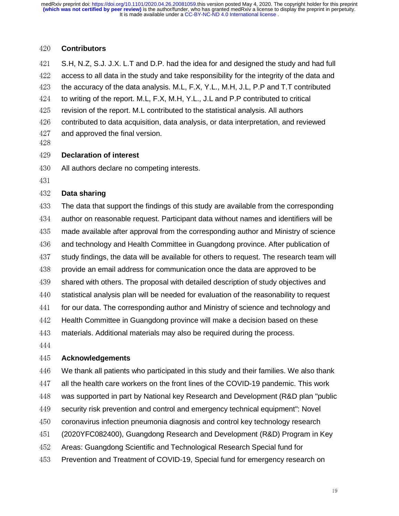### <sup>420</sup>**Contributors**

- S.H, N.Z, S.J. J.X. L.T and D.P. had the idea for and designed the study and had full<br>422 access to all data in the study and take responsibility for the integrity of the data and access to all data in the study and take responsibility for the integrity of the data and<br>423 the accuracy of the data analysis. M.L. F.X. Y.L., M.H. J.L. P.P and T.T contributed the accuracy of the data analysis. M.L, F.X, Y.L., M.H, J.L, P.P and T.T contributed<br>424 to writing of the report. M.L. F.X. M.H. Y.L., J.L and P.P contributed to critical to writing of the report. M.L, F.X, M.H, Y.L., J.L and P.P contributed to critical<br>425 revision of the report. M.L contributed to the statistical analysis. All authors revision of the report. M.L contributed to the statistical analysis. All authors<br>426 contributed to data acquisition. data analysis. or data interpretation. and rev  $426$  contributed to data acquisition, data analysis, or data interpretation, and reviewed<br> $427$  and approved the final version.  $427$  and approved the final version.<br> $428$
- 

### 428 <sup>429</sup>**Declaration of interest**

- 430 All authors declare no competing interests.<br>431
- 

# <sup>432</sup>**Data sharing**

The data that support the findings of this study are available from the corresponding<br>434 author on reasonable request. Participant data without names and identifiers will be author on reasonable request. Participant data without names and identifiers will be<br>435 and available after approval from the corresponding author and Ministry of science made available after approval from the corresponding author and Ministry of science<br>436 and technology and Health Committee in Guangdong province. After publication of and technology and Health Committee in Guangdong province. After publication of 437 study findings, the data will be available for others to request. The research team w 437 study findings, the data will be available for others to request. The research team will<br>438 provide an email address for communication once the data are approved to be provide an email address for communication once the data are approved to be<br>439 Shared with others. The proposal with detailed description of study obiectives a shared with others. The proposal with detailed description of study objectives and<br>440 statistical analysis plan will be needed for evaluation of the reasonability to reques 440 statistical analysis plan will be needed for evaluation of the reasonability to request<br>441 for our data. The corresponding author and Ministry of science and technology and for our data. The corresponding author and Ministry of science and technology and<br>442 Health Committee in Guangdong province will make a decision based on these Health Committee in Guangdong province will make a decision based on these<br>443 materials. Additional materials may also be required during the process. materials. Additional materials may also be required during the process.<br>444

### 445

<sup>445</sup>**Acknowledgements**  We thank all patients who participated in this study and their families. We also thank<br>447 all the health care workers on the front lines of the COVID-19 pandemic. This work all the health care workers on the front lines of the COVID-19 pandemic. This work<br>448 was supported in part by National key Research and Development (R&D plan "publ was supported in part by National key Research and Development (R&D plan "public<br>449 Security risk prevention and control and emergency technical equipment": Novel security risk prevention and control and emergency technical equipment": Novel<br>450 – coronavirus infection pneumonia diagnosis and control key technology research coronavirus infection pneumonia diagnosis and control key technology research<br>451 (2020YFC082400). Guangdong Research and Development (R&D) Program in F 451 (2020YFC082400), Guangdong Research and Development (R&D) Program in Key<br>452 Areas: Guangdong Scientific and Technological Research Special fund for Areas: Guangdong Scientific and Technological Research Special fund for<br>453 Prevention and Treatment of COVID-19. Special fund for emergency resea

Prevention and Treatment of COVID-19, Special fund for emergency research on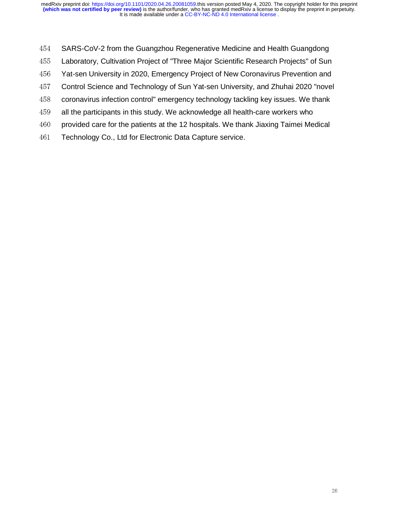- SARS-CoV-2 from the Guangzhou Regenerative Medicine and Health Guangdong<br>455 Laboratory, Cultivation Project of "Three Major Scientific Research Projects" of Sun
- 455 Laboratory, Cultivation Project of "Three Major Scientific Research Projects" of Sun<br>456 Yat-sen University in 2020, Emergency Project of New Coronavirus Prevention and
- 456 Yat-sen University in 2020, Emergency Project of New Coronavirus Prevention and<br>457 Control Science and Technology of Sun Yat-sen University, and Zhuhai 2020 "novel
- 457 Control Science and Technology of Sun Yat-sen University, and Zhuhai 2020 "novel<br>458 coronavirus infection control" emergency technology tackling key issues. We thank
- coronavirus infection control" emergency technology tackling key issues. We thank<br>459 all the participants in this study. We acknowledge all health-care workers who
- all the participants in this study. We acknowledge all health-care workers who<br>460 U provided care for the patients at the 12 hospitals. We thank Jiaxing Taimei Me
- 160 provided care for the patients at the 12 hospitals. We thank Jiaxing Taimei Medical<br>161 Technology Co.. Ltd for Electronic Data Capture service.
- Technology Co., Ltd for Electronic Data Capture service.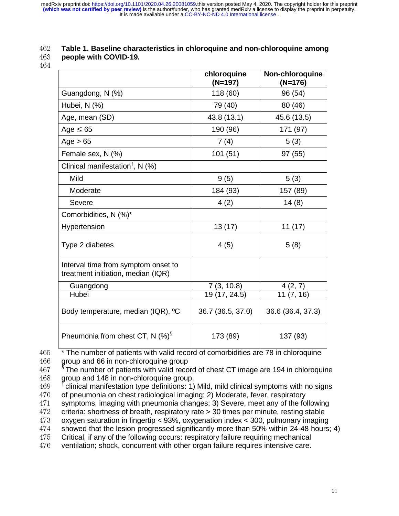It is made available under a [CC-BY-NC-ND 4.0 International license](http://creativecommons.org/licenses/by-nc-nd/4.0/) . **(which was not certified by peer review)** is the author/funder, who has granted medRxiv a license to display the preprint in perpetuity. medRxiv preprint doi: [https://doi.org/10.1101/2020.04.26.20081059.](https://doi.org/10.1101/2020.04.26.20081059)this version posted May 4, 2020. The copyright holder for this preprint

## <sup>462</sup>**Table 1. Baseline characteristics in chloroquine and non-chloroquine among**

### <sup>463</sup>**people with COVID-19.**

|                                                                           | chloroquine<br>$(N=197)$ | Non-chloroquine<br>$(N=176)$ |
|---------------------------------------------------------------------------|--------------------------|------------------------------|
| Guangdong, N (%)                                                          | 118 (60)                 | 96 (54)                      |
| Hubei, N (%)                                                              | 79 (40)                  | 80 (46)                      |
| Age, mean (SD)                                                            | 43.8 (13.1)              | 45.6 (13.5)                  |
| Age $\leq 65$                                                             | 190 (96)                 | 171 (97)                     |
| Age > 65                                                                  | 7(4)                     | 5(3)                         |
| Female sex, N (%)                                                         | 101(51)                  | 97 (55)                      |
| Clinical manifestation <sup>†</sup> , N $(\%)$                            |                          |                              |
| Mild                                                                      | 9(5)                     | 5(3)                         |
| Moderate                                                                  | 184 (93)                 | 157 (89)                     |
| Severe                                                                    | 4(2)                     | 14(8)                        |
| Comorbidities, N (%)*                                                     |                          |                              |
| Hypertension                                                              | 13(17)                   | 11(17)                       |
| Type 2 diabetes                                                           | 4(5)                     | 5(8)                         |
| Interval time from symptom onset to<br>treatment initiation, median (IQR) |                          |                              |
| Guangdong                                                                 | 7(3, 10.8)               | 4(2, 7)                      |
| Hubei                                                                     | 19 (17, 24.5)            | 11 (7, 16)                   |
| Body temperature, median (IQR), °C                                        | 36.7 (36.5, 37.0)        | 36.6 (36.4, 37.3)            |
| Pneumonia from chest CT, N $(\%)^{\S}$                                    | 173 (89)                 | 137 (93)                     |

<sup>465</sup> <sup>\*</sup> The number of patients with valid record of comorbidities are 78 in chloroquine<br>466 **aroup and 66 in non-chloroquine group** 

466 group and 66 in non-chloroquine group<br>467 <sup>§</sup> The number of patients with valid reco

 $\frac{\$}{167}$   $\frac{\$}{168}$  The number of patients with valid record of chest CT image are 194 in chloroquine  $\frac{468}{168}$  aroun and 148 in non-chloroquine group

468 group and 148 in non-chloroquine group.<br>469 dinical manifestation type definitions: 1)  $\frac{169}{160}$   $\frac{1}{160}$   $\frac{1}{160}$  manifestation type definitions: 1) Mild, mild clinical symptoms with no signs  $\frac{170}{160}$  of pneumonia on chest radiological imaging: 2) Moderate fever respiratory

470 of pneumonia on chest radiological imaging; 2) Moderate, fever, respiratory<br>471 symptoms, imaging with pneumonia changes; 3) Severe, meet any of the fo

471 symptoms, imaging with pneumonia changes; 3) Severe, meet any of the following<br>472 criteria: shortness of breath, respiratory rate > 30 times per minute, resting stable

472 criteria: shortness of breath, respiratory rate  $> 30$  times per minute, resting stable <br>473 oxygen saturation in fingertip < 93%, oxygenation index < 300, pulmonary imaging

473 oxygen saturation in fingertip < 93%, oxygenation index < 300, pulmonary imaging  $474$  showed that the lesion progressed significantly more than 50% within 24-48 hours

474 showed that the lesion progressed significantly more than 50% within 24-48 hours; 4)<br>475 Critical, if any of the following occurs: respiratory failure requiring mechanical

475 Critical, if any of the following occurs: respiratory failure requiring mechanical<br>476 ventilation: shock. concurrent with other organ failure requires intensive care.

ventilation; shock, concurrent with other organ failure requires intensive care.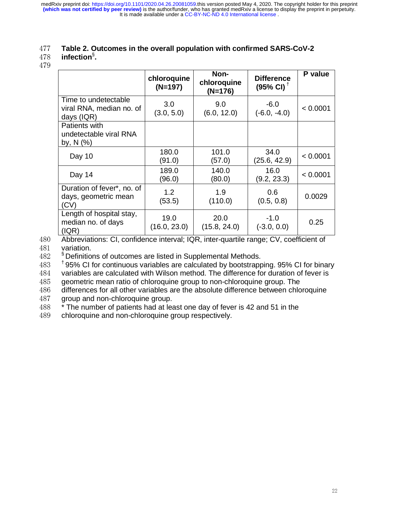## <sup>477</sup>**Table 2. Outcomes in the overall population with confirmed SARS-CoV-2**

## **infection**§ <sup>478</sup>**.**

|                                                                | chloroquine<br>$(N=197)$   | Non-<br>chloroquine<br>$(N=176)$ | <b>Difference</b><br>$(95\% \text{ Cl})^+$ | P value  |
|----------------------------------------------------------------|----------------------------|----------------------------------|--------------------------------------------|----------|
| Time to undetectable<br>viral RNA, median no. of<br>days (IQR) | 3.0<br>(3.0, 5.0)          | 9.0<br>(6.0, 12.0)               | $-6.0$<br>$(-6.0, -4.0)$                   | < 0.0001 |
| Patients with<br>undetectable viral RNA<br>by, $N$ $(\%)$      |                            |                                  |                                            |          |
| Day 10                                                         | 180.0<br>(91.0)            | 101.0<br>(57.0)                  | 34.0<br>(25.6, 42.9)                       | < 0.0001 |
| Day 14                                                         | 189.0<br>(96.0)            | 140.0<br>(80.0)                  | 16.0<br>(9.2, 23.3)                        | < 0.0001 |
| Duration of fever*, no. of<br>days, geometric mean<br>(CV)     | 1.2 <sub>1</sub><br>(53.5) | 1.9<br>(110.0)                   | 0.6<br>(0.5, 0.8)                          | 0.0029   |
| Length of hospital stay,<br>median no. of days<br>( IQR)       | 19.0<br>(16.0, 23.0)       | 20.0<br>(15.8, 24.0)             | $-1.0$<br>$(-3.0, 0.0)$                    | 0.25     |

480 Abbreviations: CI, confidence interval; IQR, inter-quartile range; CV, coefficient of variation.

481 variation.<br>482  $\frac{1}{2}$  Definitio

 $\frac{\$}{182}$   $\frac{\$}{195\%}$  CL for continuous variables are calculated by bootstrapped in Supplemental Methods.

 $^{+1}_{-1}$ 95% CI for continuous variables are calculated by bootstrapping. 95% CI for binary<br>484 – variables are calculated with Wilson method. The difference for duration of fever is

variables are calculated with Wilson method. The difference for duration of fever is<br>485 aeometric mean ratio of chloroquine group to non-chloroquine group. The

geometric mean ratio of chloroquine group to non-chloroquine group. The 486 differences for all other variables are the absolute difference between chlo

differences for all other variables are the absolute difference between chloroquine<br>487 aroup and non-chloroquine group.

487 group and non-chloroquine group.<br>488 \* The number of patients had at lea

<sup>488</sup> \* The number of patients had at least one day of fever is 42 and 51 in the chloroquine and non-chloroquine group respectively.

chloroquine and non-chloroquine group respectively.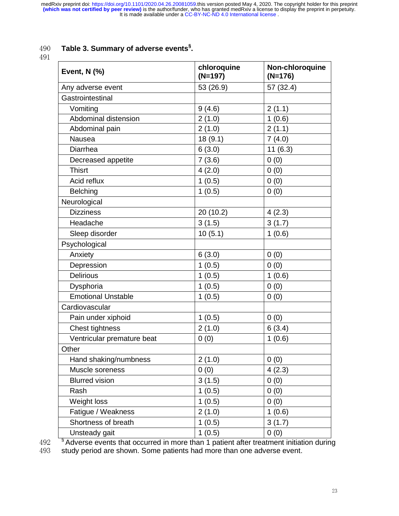# **490 Table 3. Summary of adverse events<sup>§</sup>.** 491

| Event, $N$ (%)             | chloroquine<br>$(N=197)$ | Non-chloroquine<br>$(N=176)$ |
|----------------------------|--------------------------|------------------------------|
| Any adverse event          | 53 (26.9)                | 57 (32.4)                    |
| Gastrointestinal           |                          |                              |
| Vomiting                   | 9(4.6)                   | 2(1.1)                       |
| Abdominal distension       | 2(1.0)                   | 1(0.6)                       |
| Abdominal pain             | 2(1.0)                   | 2(1.1)                       |
| Nausea                     | 18 (9.1)                 | 7(4.0)                       |
| Diarrhea                   | 6(3.0)                   | 11(6.3)                      |
| Decreased appetite         | 7(3.6)                   | 0(0)                         |
| <b>Thisrt</b>              | 4(2.0)                   | 0(0)                         |
| Acid reflux                | 1(0.5)                   | 0(0)                         |
| <b>Belching</b>            | 1(0.5)                   | 0(0)                         |
| Neurological               |                          |                              |
| <b>Dizziness</b>           | 20(10.2)                 | 4(2.3)                       |
| Headache                   | 3(1.5)                   | 3(1.7)                       |
| Sleep disorder             | 10(5.1)                  | 1(0.6)                       |
| Psychological              |                          |                              |
| Anxiety                    | 6(3.0)                   | 0(0)                         |
| Depression                 | 1(0.5)                   | 0(0)                         |
| <b>Delirious</b>           | 1(0.5)                   | 1(0.6)                       |
| Dysphoria                  | 1(0.5)                   | 0(0)                         |
| <b>Emotional Unstable</b>  | 1(0.5)                   | 0(0)                         |
| Cardiovascular             |                          |                              |
| Pain under xiphoid         | 1(0.5)                   | 0(0)                         |
| Chest tightness            | 2(1.0)                   | 6(3.4)                       |
| Ventricular premature beat | 0(0)                     | 1(0.6)                       |
| Other                      |                          |                              |
| Hand shaking/numbness      | 2(1.0)                   | 0(0)                         |
| Muscle soreness            | 0(0)                     | 4(2.3)                       |
| <b>Blurred vision</b>      | 3(1.5)                   | 0(0)                         |
| Rash                       | 1(0.5)                   | 0(0)                         |
| Weight loss                | 1(0.5)                   | 0(0)                         |
| Fatigue / Weakness         | 2(1.0)                   | 1(0.6)                       |
| Shortness of breath        | 1(0.5)                   | 3(1.7)                       |
| Unsteady gait              | 1(0.5)                   | 0(0)                         |

 $\frac{192}{8}$  Adverse events that occurred in more than 1 patient after treatment initiation during<br>493 study period are shown. Some patients had more than one adverse event

493 study period are shown. Some patients had more than one adverse event.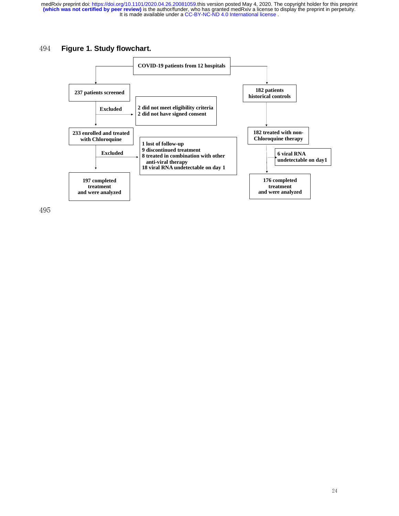### <sup>494</sup>**Figure 1. Study flowchart.**

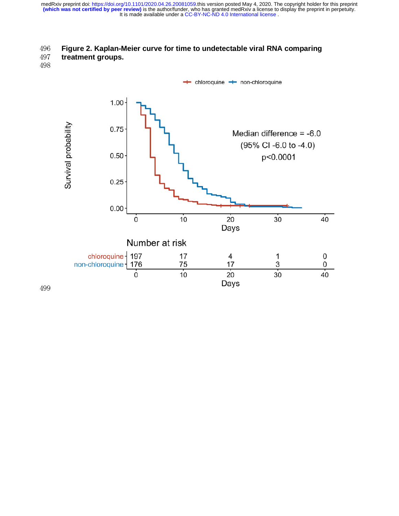# <sup>496</sup>**Figure 2. Kaplan-Meier curve for time to undetectable viral RNA comparing**

### <sup>497</sup>**treatment groups.**

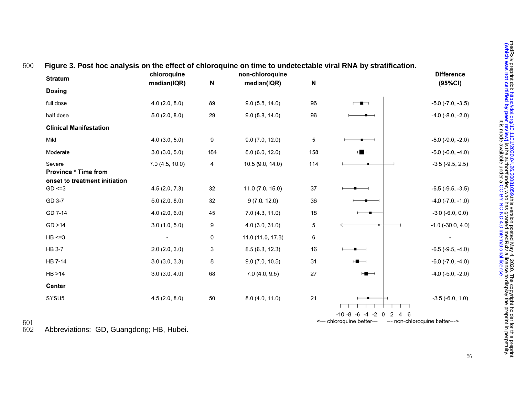| <b>Stratum</b>                        | chloroquine              |     | non-chloroquine   |     |                                          | <b>Difference</b>          |
|---------------------------------------|--------------------------|-----|-------------------|-----|------------------------------------------|----------------------------|
| <b>Dosing</b>                         | median(IQR)              | N   | median(IQR)       | N   |                                          | $(95\%CI)$                 |
| full dose                             | 4.0(2.0, 8.0)            | 89  | 9.0(5.8, 14.0)    | 96  | $\overline{\phantom{a}}$                 | $-5.0$ ( $-7.0$ , $-3.5$ ) |
| half dose                             | 5.0(2.0, 8.0)            | 29  | 9.0(5.8, 14.0)    | 96  |                                          | $-4.0$ $(-8.0, -2.0)$      |
| <b>Clinical Manifestation</b>         |                          |     |                   |     |                                          |                            |
| Mild                                  | 4.0(3.0, 5.0)            | 9   | 9.0(7.0, 12.0)    | 5   |                                          | $-5.0$ ( $-9.0$ , $-2.0$ ) |
| Moderate                              | 3.0(3.0, 5.0)            | 184 | 8.0 (6.0, 12.0)   | 158 | HН                                       | $-5.0$ ( $-6.0, -4.0$ )    |
| Severe<br><b>Province * Time from</b> | 7.0(4.5, 10.0)           | 4   | 10.5 (9.0, 14.0)  | 114 |                                          | $-3.5$ ( $-9.5$ , 2.5)     |
| onset to treatment initiation         |                          |     |                   |     |                                          |                            |
| $GD \leq 3$                           | 4.5(2.0, 7.3)            | 32  | 11.0 (7.0, 15.0)  | 37  |                                          | $-6.5$ ( $-9.5$ , $-3.5$ ) |
| GD 3-7                                | 5.0(2.0, 8.0)            | 32  | 9(7.0, 12.0)      | 36  |                                          | $-4.0$ $(-7.0, -1.0)$      |
| GD 7-14                               | 4.0(2.0, 6.0)            | 45  | 7.0(4.3, 11.0)    | 18  |                                          | $-3.0$ ( $-6.0, 0.0$ )     |
| GD > 14                               | 3.0(1.0, 5.0)            | 9   | 4.0(3.0, 31.0)    | 5   |                                          | $-1.0$ ( $-30.0, 4.0$ )    |
| $HB \le 3$                            | $\overline{\phantom{a}}$ | 0   | 11.0 (11.0, 17.8) | 6   |                                          |                            |
| <b>HB 3-7</b>                         | 2.0(2.0, 3.0)            | 3   | 8.5 (6.8, 12.3)   | 16  |                                          | $-6.5$ $(-9.5, -4.0)$      |
| HB 7-14                               | 3.0(3.0, 3.3)            | 8   | 9.0(7.0, 10.5)    | 31  | ╺                                        | $-6.0$ $(-7.0, -4.0)$      |
| HB > 14                               | 3.0(3.0, 4.0)            | 68  | 7.0(4.0, 9.5)     | 27  | $\overline{\phantom{a}}$                 | $-4.0$ ( $-5.0$ , $-2.0$ ) |
| Center                                |                          |     |                   |     |                                          |                            |
| SYSU5                                 | 4.5(2.0, 8.0)            | 50  | 8.0 (4.0, 11.0)   | 21  |                                          | $-3.5$ ( $-6.0, 1.0$ )     |
|                                       |                          |     |                   |     | $-10 - 8 - 6 - 4 - 2 = 0$<br>6<br>2<br>4 |                            |

501 Abbreviations: GD, Guangdong; HB, Hubei.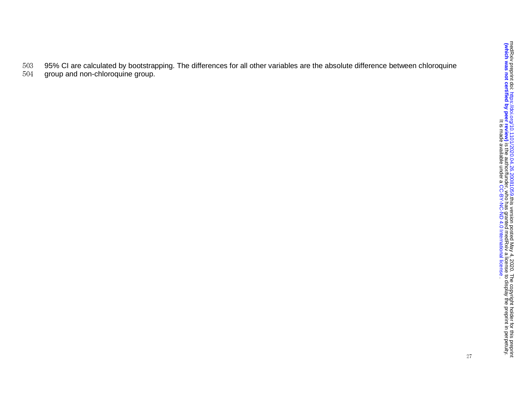503 95% CI are calculated by bootstrapping. The differences for all other variables are the absolute difference between chloroquine 504 group and non-chloroquine group.

27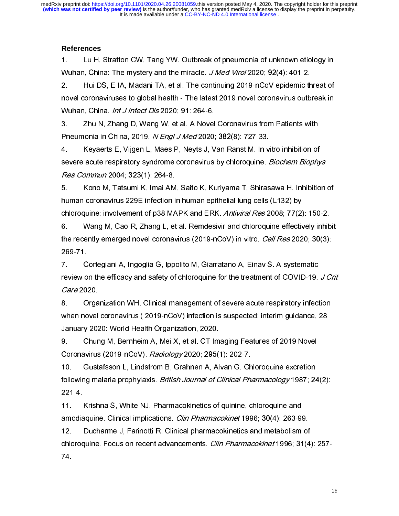It is made available under a [CC-BY-NC-ND 4.0 International license](http://creativecommons.org/licenses/by-nc-nd/4.0/) . **(which was not certified by peer review)** is the author/funder, who has granted medRxiv a license to display the preprint in perpetuity. medRxiv preprint doi: [https://doi.org/10.1101/2020.04.26.20081059.](https://doi.org/10.1101/2020.04.26.20081059)this version posted May 4, 2020. The copyright holder for this preprint

### **References**

 $1<sup>1</sup>$ 

Wuhan, China: The mystery and the miracle *J. Med Virol* 2020; 92(4): 401-2<br>
2. Hui DS, E IA, Madani TA, et al. The continuing 2019-nCoV epidemic threat of<br>
novel coronaviruses to global health - The latest 2019 novel coro volution, colution D. H. Chinyacky and the minder. Collect the mission of the miral of the miral of the miral of the miral of the miral of the miral of the miral of the miral of the miral of the miral of the miral of the m novel coronaviruses to global health - The latest 2019 novel coronavirus outbreak in<br>Wuhan, China. *Int J Infect Dis* 2020, 91-264-6.<br>3. Zhu N, Zhang D. Wang W. et al. A Novel Coronavirus from Patents with<br>2. Zhu N, Zhang Wuhan, China. *Int J Inteet Dis* 2020; 91: 264-6.<br>
2. Zhu N, Zhang D, Wang W, et al. A Novel Coronavirus from Patients with<br>
Pheumonia in China, 2019. *N Engl J Med* 2020; 382(6): 727-33<br>
4. Keyaerts E, Vilgen L, Maes P, N vanial, Omita. *int B infect Dis 2020*; 91: 204-6.<br>
3. Zhu N, Zhang D, Wang W, et al. A Novel<br>
Pneumonia in China, 2019. *N Engl J Med* 2020;<br>
4. Keyaerts E, Vijgen L, Maes P, Neyts J, V<br>
severe active respiratory syndrome Pneumonia in China, 2019. *NEngl J Med 2020*; 382(8): 727-33.<br>
4. Keyaerts E, Vijgen L, Maes P, Neyts J. Van Ranst M. In vitro inhibition of<br>
severe acute respiratory syndrome coronavirus by chioroquine. *Blochem Biophy*<br> All Reynalis and Simuri, 2010. *New Your Simury, 2010*, *Pacifical Hall Interaction and China, 2010, 1127-33.*<br>4. Keyaerts E, Vijgen L, Maes P, Neyts J, Van Ranst M. In the *Res Commun* 2004; 323(1): 264-8.<br>5. Kono M, Tat severe acute respiratory syndrome coronavirus by chloroquine. *Biochem Biophy*<br> *Res Commun* 2004: 323(1): 264-8.<br>
5. Keno M, Tatsumi K, Imai AM, Salto K, Kuriyama T, Shirasawa H, Inhibition<br>
1. Keno M, Tatsumi K, Imai AM, severe acute respiratory syndrome coronavirus by entoregance. *Dobnetin biophys*<br>
Res Commun 2004; 323(1): 264-8.<br>
5. Kono M, Tatsumi K, limai AM, Saito K, Kuriyama T, Shirasawa H, linhibition<br>
human coronavirus 229E infec Res Commun 2004; 020(1): 204-8.<br>
S. Kono M, Tatsumi K, Imai AM<br>
human coronavirus 229E infection in<br>
chloroquine: involvement of p38 MA<br>
6. Wang M, Cao R, Zhang L, et<br>
the recently emerged novel coronav<br>
269-71.<br>
7. Corteg human coronavirus 229E infection in human epitheial iung cells (L132) by<br>chloroquine: involvement of p38 MAPK and ERK. *Antiviral Res* 2008; 77(2): 150-2.<br>
6. Wang M, Cao R, Zhang L, et al. Remdesivir and chloroquine effe chloroquine: involvement of p38 MAPK and ERK. *Antiviral Res* 2008; 77(2)<br>6. Wang M, Cao R, Zhang L, et al. Remdesivir and chloroquine effective<br>the recently emerged novel coronavirus (2019-nCoV) in vitro. *Cell Res* 202<br>2 chloroquine: involvement of particular and ERK. *Fulling*, 1920. The EC incomparation, 1920. The Colling of the recently emerged novel coronavirus (2019-nCoV) in vitro. *Cell Res* 2020; 30(3): 269-71.<br>
The recently emerged the recently emerged novel coronavirus (2019-nCoV) in vitro. *Cell Res* 2020; 30(3):<br>269-71.<br>7. Cortegiani A, Ingoglia G, Ippolito M, Giarratano A, Einav S. A systematic<br>review on the efficacy and safety of chloroquine for the recently emerged novel coronamize (2019-1000) in vitro. Cell Res 2009, the recently emerged novel coronating (219-nCoV) in vitro. Cell Research Covince review on the efficacy and safety of chloroquine for the treatment 7. C<br>
review o<br> *Care* 20:<br>
8. C<br>
When no<br>
January<br>
9. C<br>
Coronav<br>
10. G<br>
following<br>
221-4.<br>
11. K<br>
amodiac<br>
12. D<br>
chloroqu<br>
74.

review on the efficacy and safety of chloroquine for the treatment of COVID-19.<br>Care 2020.<br>8. Cregnization WH. Clinical management of severe acute respiratory infect<br>when novel coronavirus (2019-nCoV) infection is suspecte review and the efficial of Clincial management of severe acute respiratory infection<br>
Care 2020.<br>
8. Organization WH. Clinical management of severe acute respiratory infection<br>
when novel coronavirus (2019-nCoV) infection 8. Orga<br>
8. Orga<br>
when novel<br>
January 202<br>
9. Chur<br>
Coronavirus<br>
10. Gust:<br>
following ma<br>
221-4.<br>
11. Krish<br>
amodiaquin<br>
12. Duch<br>
chloroquine<br>
74. when novel coronavirus (2019-nCoV) infection is suspected: interim guidance, 28<br>January 2020: World Health Organization, 2020.<br>9. Chung M, Bernheim A, Mei X, et al. CT Imaging Features of 2019 Novel<br>Coronavirus (2019-nCoV) when novel coronavirus ( 2019-nCoV) infection is suspected: interim guidance, 28<br>January 2020: World Health Organization, 2020.<br>9. Chung M, Bernheim A, Mei X, et al. CT Imaging Features of 2019 Novel<br>Coronavirus (2019-nCoV 9. Chung M, Bernheim A, Mei X, et al. CT Im<br>Coronavirus (2019-nCoV). *Radiology* 2020; 295(<br>10. Gustafsson L, Lindstrom B, Grahnen A, Al<br>following malaria prophylaxis. *British Journal of C*<br>221-4.<br>11. Krishna S, White NJ. Coronavirus (2019-nCoV). *Radiology* 2020; 295(1): 202-7.<br>
10. Gustafsson L, Lindstrom B, Grahnen A, Alvan G. Chloroquine excretion<br>
following malaria prophylaxis. *British Journal of Clinical Pharmacology* 1987; 24<br>
221-4 Coronavirus (2019-ncov). *Radiology 2020*, 200(1): 202-7.<br>10. Gustafsson L, Lindstrom B, Grahnen A, Alvan G. Ch<br>following malaria prophylaxis. *British Journal of Clinical Pha*<br>221-4.<br>11. Krishna S, White NJ. Pharmacokinet

following malaria prophylaxis. *British Journal of Clinical Pharmacology* 1987; 24<br>221-4.<br>11. Krishna S, White NJ. Pharmacokinetics of quinine, chloroquine and<br>amodiaquine. Clinical implications. *Clin Pharmacokinet* 1996; following malarita prophylaxis. *British Journal of Chinear Pharmacology* 1987; 24(2).<br>221-4.<br>11. Krishna S, White NJ. Pharmacokinetics of quinine, chloroquine and<br>amodiaquine. Clinical implications. *Clin Pharmacokinet* 1 11.<br>amodia<br>12. I<br>chloroq<br>74. 21. Martin S, Thursday, Thursday, Theorem (American Section American Sylvic Pharmacokinet 1996; 30(4): 263-99<br>12. Ducharme J, Farinotti R. Clinical pharmacokinetics and metabolism<br>chloroquine. Focus on recent advancements. amodiaquine. Clinical implications. Clin Pharmacokinet 1996; 30(4): 269-99.<br>12. Ducharme J, Farinotti R. Clinical pharmacokinetics and metabolism of<br>chloroquine. Focus on recent advancements. *Clin Pharmacokinet* 1996; 31( chloroquine. Focus on recent advancements. *Clin Pharmacokinet* 1996; 31(4)<br>74. chloroquine. Focus on recent advancements. Clin Pharmacokinet 1996; 31(4): 257-<br>74.